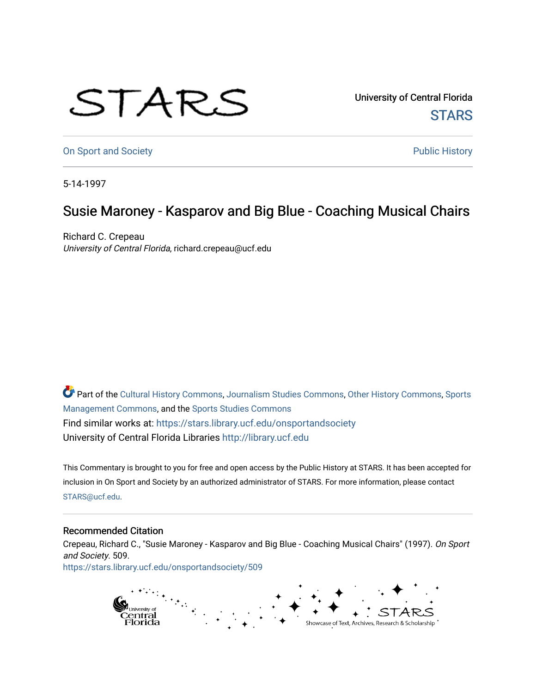## STARS

University of Central Florida **STARS** 

[On Sport and Society](https://stars.library.ucf.edu/onsportandsociety) **Public History** Public History

5-14-1997

## Susie Maroney - Kasparov and Big Blue - Coaching Musical Chairs

Richard C. Crepeau University of Central Florida, richard.crepeau@ucf.edu

Part of the [Cultural History Commons](http://network.bepress.com/hgg/discipline/496?utm_source=stars.library.ucf.edu%2Fonsportandsociety%2F509&utm_medium=PDF&utm_campaign=PDFCoverPages), [Journalism Studies Commons,](http://network.bepress.com/hgg/discipline/333?utm_source=stars.library.ucf.edu%2Fonsportandsociety%2F509&utm_medium=PDF&utm_campaign=PDFCoverPages) [Other History Commons,](http://network.bepress.com/hgg/discipline/508?utm_source=stars.library.ucf.edu%2Fonsportandsociety%2F509&utm_medium=PDF&utm_campaign=PDFCoverPages) [Sports](http://network.bepress.com/hgg/discipline/1193?utm_source=stars.library.ucf.edu%2Fonsportandsociety%2F509&utm_medium=PDF&utm_campaign=PDFCoverPages) [Management Commons](http://network.bepress.com/hgg/discipline/1193?utm_source=stars.library.ucf.edu%2Fonsportandsociety%2F509&utm_medium=PDF&utm_campaign=PDFCoverPages), and the [Sports Studies Commons](http://network.bepress.com/hgg/discipline/1198?utm_source=stars.library.ucf.edu%2Fonsportandsociety%2F509&utm_medium=PDF&utm_campaign=PDFCoverPages) Find similar works at: <https://stars.library.ucf.edu/onsportandsociety> University of Central Florida Libraries [http://library.ucf.edu](http://library.ucf.edu/) 

This Commentary is brought to you for free and open access by the Public History at STARS. It has been accepted for inclusion in On Sport and Society by an authorized administrator of STARS. For more information, please contact [STARS@ucf.edu](mailto:STARS@ucf.edu).

## Recommended Citation

Crepeau, Richard C., "Susie Maroney - Kasparov and Big Blue - Coaching Musical Chairs" (1997). On Sport and Society. 509.

[https://stars.library.ucf.edu/onsportandsociety/509](https://stars.library.ucf.edu/onsportandsociety/509?utm_source=stars.library.ucf.edu%2Fonsportandsociety%2F509&utm_medium=PDF&utm_campaign=PDFCoverPages)

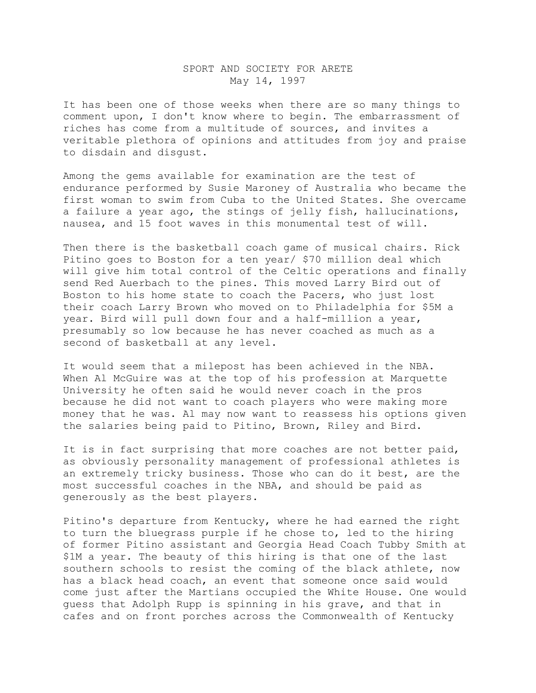## SPORT AND SOCIETY FOR ARETE May 14, 1997

It has been one of those weeks when there are so many things to comment upon, I don't know where to begin. The embarrassment of riches has come from a multitude of sources, and invites a veritable plethora of opinions and attitudes from joy and praise to disdain and disgust.

Among the gems available for examination are the test of endurance performed by Susie Maroney of Australia who became the first woman to swim from Cuba to the United States. She overcame a failure a year ago, the stings of jelly fish, hallucinations, nausea, and 15 foot waves in this monumental test of will.

Then there is the basketball coach game of musical chairs. Rick Pitino goes to Boston for a ten year/ \$70 million deal which will give him total control of the Celtic operations and finally send Red Auerbach to the pines. This moved Larry Bird out of Boston to his home state to coach the Pacers, who just lost their coach Larry Brown who moved on to Philadelphia for \$5M a year. Bird will pull down four and a half-million a year, presumably so low because he has never coached as much as a second of basketball at any level.

It would seem that a milepost has been achieved in the NBA. When Al McGuire was at the top of his profession at Marquette University he often said he would never coach in the pros because he did not want to coach players who were making more money that he was. Al may now want to reassess his options given the salaries being paid to Pitino, Brown, Riley and Bird.

It is in fact surprising that more coaches are not better paid, as obviously personality management of professional athletes is an extremely tricky business. Those who can do it best, are the most successful coaches in the NBA, and should be paid as generously as the best players.

Pitino's departure from Kentucky, where he had earned the right to turn the bluegrass purple if he chose to, led to the hiring of former Pitino assistant and Georgia Head Coach Tubby Smith at \$1M a year. The beauty of this hiring is that one of the last southern schools to resist the coming of the black athlete, now has a black head coach, an event that someone once said would come just after the Martians occupied the White House. One would guess that Adolph Rupp is spinning in his grave, and that in cafes and on front porches across the Commonwealth of Kentucky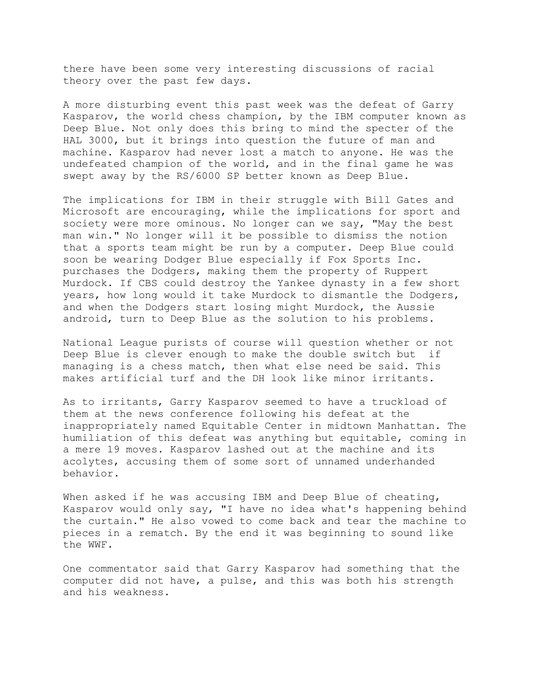there have been some very interesting discussions of racial theory over the past few days.

A more disturbing event this past week was the defeat of Garry Kasparov, the world chess champion, by the IBM computer known as Deep Blue. Not only does this bring to mind the specter of the HAL 3000, but it brings into question the future of man and machine. Kasparov had never lost a match to anyone. He was the undefeated champion of the world, and in the final game he was swept away by the RS/6000 SP better known as Deep Blue.

The implications for IBM in their struggle with Bill Gates and Microsoft are encouraging, while the implications for sport and society were more ominous. No longer can we say, "May the best man win." No longer will it be possible to dismiss the notion that a sports team might be run by a computer. Deep Blue could soon be wearing Dodger Blue especially if Fox Sports Inc. purchases the Dodgers, making them the property of Ruppert Murdock. If CBS could destroy the Yankee dynasty in a few short years, how long would it take Murdock to dismantle the Dodgers, and when the Dodgers start losing might Murdock, the Aussie android, turn to Deep Blue as the solution to his problems.

National League purists of course will question whether or not Deep Blue is clever enough to make the double switch but if managing is a chess match, then what else need be said. This makes artificial turf and the DH look like minor irritants.

As to irritants, Garry Kasparov seemed to have a truckload of them at the news conference following his defeat at the inappropriately named Equitable Center in midtown Manhattan. The humiliation of this defeat was anything but equitable, coming in a mere 19 moves. Kasparov lashed out at the machine and its acolytes, accusing them of some sort of unnamed underhanded behavior.

When asked if he was accusing IBM and Deep Blue of cheating, Kasparov would only say, "I have no idea what's happening behind the curtain." He also vowed to come back and tear the machine to pieces in a rematch. By the end it was beginning to sound like the WWF.

One commentator said that Garry Kasparov had something that the computer did not have, a pulse, and this was both his strength and his weakness.